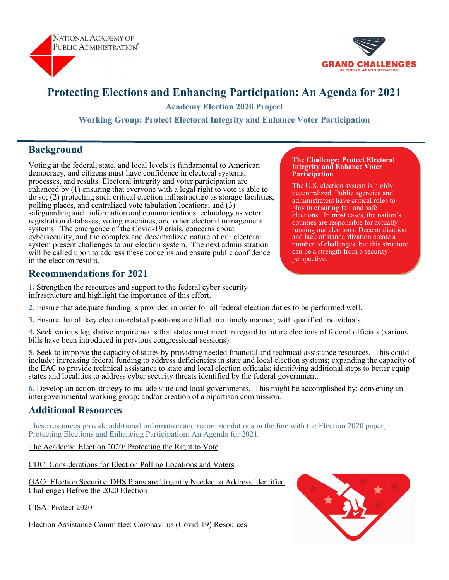



# **Protecting Elections and Enhancing Participation: An Agenda for 2021**

**Academy Election 2020 Project** 

**Working Group: Protect Electoral Integrity and Enhance Voter Participation** 

### **Background**

Voting at the federal, state, and local levels is fundamental to American democracy, and citizens must have confidence in electoral systems, processes, and results. Electoral integrity and voter participation are enhanced by (1) ensuring that everyone with a legal right to vote is able to do so; (2) protecting such critical election infrastructure as storage facilities, polling places, and centralized vote tabulation locations; and (3) safeguarding such information and communications technology as voter registration databases, voting machines, and other electoral management systems. The emergence of the Covid-19 crisis, concerns about cybersecurity, and the complex and decentralized nature of our electoral system present challenges to our election system. The next administration will be called upon to address these concerns and ensure public confidence in the election results.

#### **Recommendations for 2021**

**1.** Strengthen the resources and support to the federal cyber security infrastructure and highlight the importance of this effort.

**2.** Ensure that adequate funding is provided in order for all federal election duties to be performed well.

**3.** Ensure that all key election-related positions are filled in a timely manner, with qualified individuals.

**4.** Seek various legislative requirements that states must meet in regard to future elections of federal officials (various bills have been introduced in pervious congressional sessions).

**5.** Seek to improve the capacity of states by providing needed financial and technical assistance resources. This could include: increasing federal funding to address deficiencies in state and local election systems; expanding the capacity of the EAC to provide technical assistance to state and local election officials; identifying additional steps to better equip states and localities to address cyber security threats identified by the federal government.

**6.** Develop an action strategy to include state and local governments. This might be accomplished by: convening an intergovernmental working group; and/or creation of a bipartisan commission.

### **Additional Resources**

These resources provide additional information and recommendations in the line with the Election 2020 paper, Protecting Elections and Enhancing Participation: An Agenda for 2021.

[The Academy: Election 2020: Protecting the Right to Vote](https://www.napawash.org/grandchallenges/blog/election-2020-electoral-integrity-and-voter-participation)

[CDC: Considerations for Election Polling Locations and Voters](https://www.cdc.gov/coronavirus/2019-ncov/community/election-polling-locations.html)

[GAO: Election Security: DHS Plans are Urgently Needed to Address Identified](https://www.gao.gov/products/GAO-20-267)  [Challenges Before the 2020 Election](https://www.gao.gov/products/GAO-20-267)

[CISA: Protect 2020](https://www.cisa.gov/protect2020)

[Election Assistance Committee: Coronavirus \(Covid](https://www.eac.gov/election-officials/coronavirus-covid-19-resources)-19) Resources



#### **The Challenge: Protect Electoral Integrity and Enhance Voter Participation**

The U.S. election system is highly decentralized. Public agencies and administrators have critical roles to play in ensuring fair and safe elections. In most cases, the nation's counties are responsible for actually running our elections. Decentralization and lack of standardization create a number of challenges, but this structure can be a strength from a security perspective.